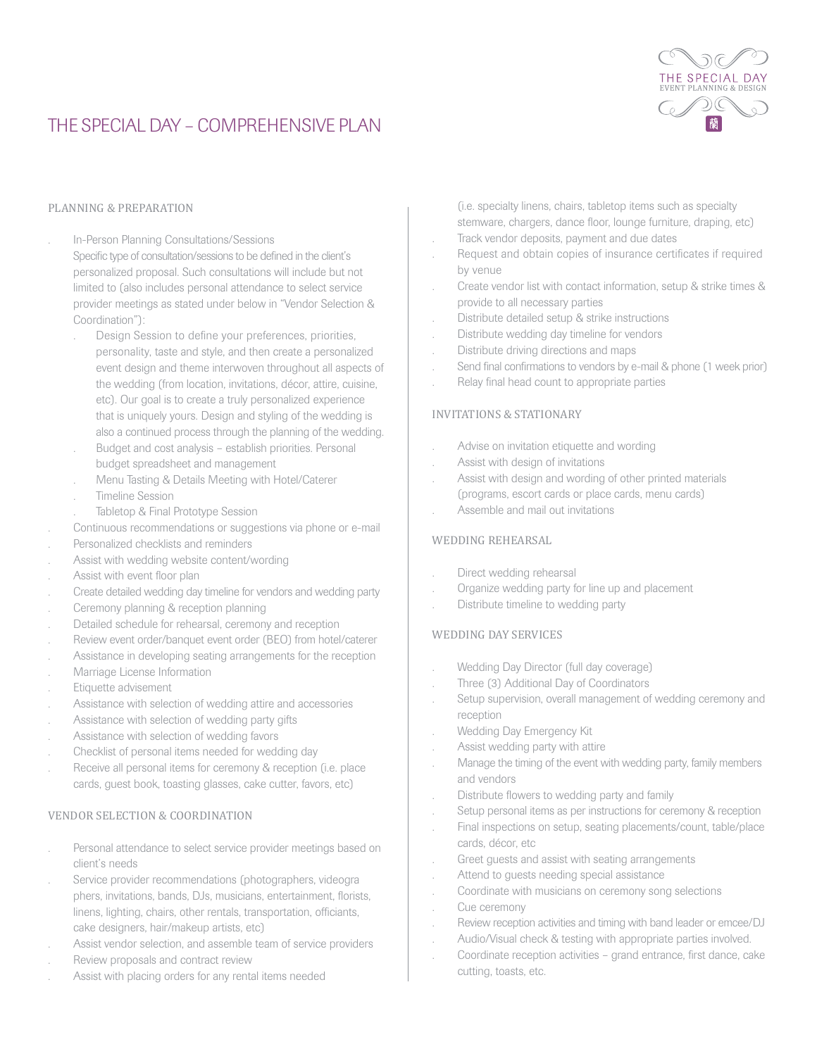

# THE SPECIAL DAY - COMPREHENSIVE PLAN

#### PLANNING & PREPARATION

- . In-Person Planning Consultations/Sessions
	- Specific type of consultation/sessions to be defined in the client's personalized proposal. Such consultations will include but not limited to (also includes personal attendance to select service provider meetings as stated under below in "Vendor Selection & Coordination"):
		- . Design Session to define your preferences, priorities, personality, taste and style, and then create a personalized event design and theme interwoven throughout all aspects of the wedding (from location, invitations, décor, attire, cuisine, etc). Our goal is to create a truly personalized experience that is uniquely yours. Design and styling of the wedding is also a continued process through the planning of the wedding.
	- . Budget and cost analysis establish priorities. Personal budget spreadsheet and management
	- . Menu Tasting & Details Meeting with Hotel/Caterer
	- . Timeline Session
	- Tabletop & Final Prototype Session
- . Continuous recommendations or suggestions via phone or e-mail
- . Personalized checklists and reminders
- . Assist with wedding website content/wording
- . Assist with event floor plan
- . Create detailed wedding day timeline for vendors and wedding party
- . Ceremony planning & reception planning
- . Detailed schedule for rehearsal, ceremony and reception
- . Review event order/banquet event order (BEO) from hotel/caterer
- . Assistance in developing seating arrangements for the reception
- . Marriage License Information
- . Etiquette advisement
- . Assistance with selection of wedding attire and accessories
- . Assistance with selection of wedding party gifts
- . Assistance with selection of wedding favors
- . Checklist of personal items needed for wedding day
- Receive all personal items for ceremony & reception (i.e. place cards, guest book, toasting glasses, cake cutter, favors, etc)

### VENDOR SELECTION & COORDINATION

- Personal attendance to select service provider meetings based on client's needs
- . Service provider recommendations (photographers, videogra phers, invitations, bands, DJs, musicians, entertainment, florists, linens, lighting, chairs, other rentals, transportation, officiants, cake designers, hair/makeup artists, etc)
- . Assist vendor selection, and assemble team of service providers
- . Review proposals and contract review
- . Assist with placing orders for any rental items needed

(i.e. specialty linens, chairs, tabletop items such as specialty stemware, chargers, dance floor, lounge furniture, draping, etc)

- . Track vendor deposits, payment and due dates
- . Request and obtain copies of insurance certificates if required by venue
- . Create vendor list with contact information, setup & strike times & provide to all necessary parties
- . Distribute detailed setup & strike instructions
- . Distribute wedding day timeline for vendors
- . Distribute driving directions and maps
- . Send final confirmations to vendors by e-mail & phone (1 week prior)
- . Relay final head count to appropriate parties

## INVITATIONS & STATIONARY

- . Advise on invitation etiquette and wording
- . Assist with design of invitations
- . Assist with design and wording of other printed materials (programs, escort cards or place cards, menu cards)
- . Assemble and mail out invitations

#### WEDDING REHEARSAL

- . Direct wedding rehearsal
- . Organize wedding party for line up and placement
- . Distribute timeline to wedding party

#### WEDDING DAY SERVICES

- . Wedding Day Director (full day coverage)
- . Three (3) Additional Day of Coordinators
- . Setup supervision, overall management of wedding ceremony and reception
- . Wedding Day Emergency Kit
- . Assist wedding party with attire
- . Manage the timing of the event with wedding party, family members and vendors
- . Distribute flowers to wedding party and family
- . Setup personal items as per instructions for ceremony & reception
- . Final inspections on setup, seating placements/count, table/place cards, décor, etc
- . Greet guests and assist with seating arrangements
- . Attend to guests needing special assistance
- . Coordinate with musicians on ceremony song selections
- . Cue ceremony
- . Review reception activities and timing with band leader or emcee/DJ
- . Audio/Visual check & testing with appropriate parties involved.
- . Coordinate reception activities grand entrance, first dance, cake cutting, toasts, etc.